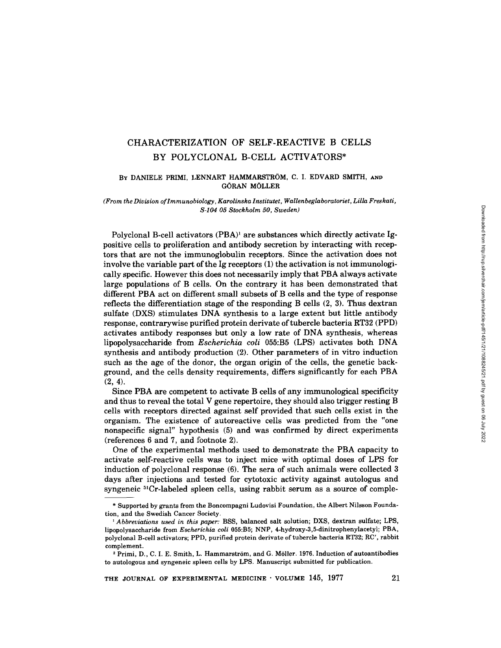# CHARACTERIZATION OF SELF-REACTIVE B CELLS BY POLYCLONAL B-CELL ACTIVATORS\*

# **BY** DANIELE PRIMI, LENNART HAMMARSTROM, **C. I.** EDVARD SMITH, **AND**  GORAN MOLLER

### *(From the Division oflmmunobiology, Karolinska Institutet, Wallenbeglaboratoriet, Lilla Freskati, S-104 05 Stockholm 50, Sweden)*

Polyclonal B-cell activators  $(PBA)^1$  are substances which directly activate Igpositive cells to proliferation and antibody secretion by interacting with receptors that are not the immunoglobulin receptors. Since the activation does not involve the variable part of the Ig receptors (1) the activation is not immunologically specific. However this does not necessarily imply that PBA always activate large populations of B cells. On the contrary it has been demonstrated that different PBA act on different small subsets of B cells and the type of response reflects the differentiation stage of the responding B cells (2, 3). Thus dextran sulfate (DXS) stimulates DNA synthesis to a large extent but little antibody response, contrarywise purified protein derivate of tubercle bacteria RT32 (PPD) activates antibody responses but only a low rate of DNA synthesis, whereas lipopolysaccharide from *Escherichia coli* 055:B5 (LPS) activates both DNA synthesis and antibody production (2). Other parameters of in vitro induction such as the age of the donor, the organ origin of the cells, the genetic background, and the cells density requirements, differs significantly for each PBA (2, 4).

Since PBA are competent to activate B cells of any immunological specificity and thus to reveal the total V gene repertoire, they should also trigger resting B cells with receptors directed against self provided that such cells exist in the organism. The existence of autoreactive cells was predicted from the "one nonspecific signal" hypothesis (5) and was confirmed by direct experiments (references 6 and 7, and footnote 2).

One of the experimental methods used to demonstrate the PBA capacity to activate self-reactive cells was to inject mice with optimal doses of LPS for induction of polyclonal response (6). The sera of such animals were collected 3 days after injections and tested for cytotoxic activity against autologus and syngeneic  ${}^{51}Cr$ -labeled spleen cells, using rabbit serum as a source of comple-

<sup>\*</sup> Supported by grants from the Boncompagni Ludovisi Foundation, the Albert Nilsson Foundation, and the Swedish Cancer Society.

*<sup>1</sup> Abbreviations used in this paper:* BSS, balanced salt solution; DXS, dextran sulfate; LPS, lipopolysaccharide from *Escherichia coli* 055:B5; NNP, 4-hydroxy-3,5-dinitrophenylacetyt; PBA, polyclonal B-cell activators; PPD, purified protein derivate of tubercle bacteria RT32; RC', rabbit complement.

<sup>&</sup>lt;sup>2</sup> Primi, D., C. I. E. Smith, L. Hammarström, and G. Möller. 1976. Induction of autoantibodies to autologous and syngeneic spleen cells by LPS. Manuscript submitted for publication.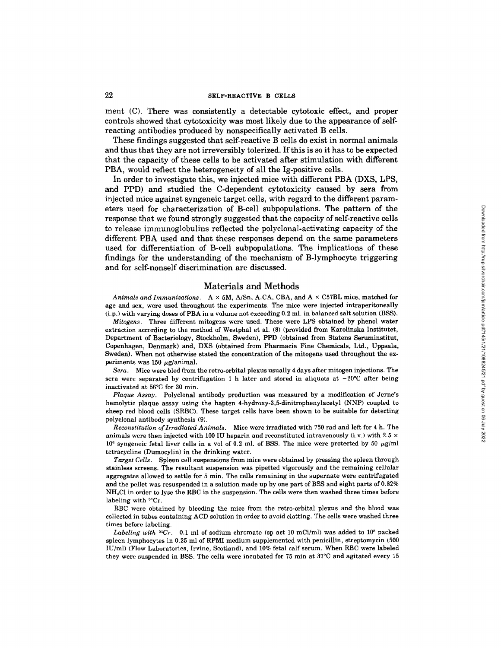### 22 SELF-REACTIVE B CELLS

**merit (C). There was consistently a detectable cytotoxic effect, and proper controls showed that cytotoxicity was most likely due to the appearance of selfreacting antibodies produced by nonspeciflcally activated B cells.** 

**These findings suggested that self-reactive B cells do exist in normal animals and thus that they are not irreversibly tolerized. If this is so it has to be expected that the capacity of these cells to be activated after stimulation with different PBA, would reflect the heterogeneity of all the Ig-positive cells.** 

**In order to investigate this, we injected mice with different PBA (DXS, LPS, and PPD) and studied the C-dependent cytotoxicity caused by sera from injected mice against syngeneic target cells, with regard to the different parameters used for characterization of B-cell subpopulations. The pattern of the response that we found strongly suggested that the capacity of self-reactive cells to release immunoglobulins reflected the polyclonal-activating capacity of the different PBA used and that these responses depend on the same parameters used for differentiation of B-cell subpopulations. The implications of these findings for the understanding of the mechanism of B-lymphocyte triggering and for self-nonself discrimination are discussed.** 

### Materials and Methods

*Animals and Immunizations.* A x 5M, A/Sn, A.CA, CBA, and A × C57BL mice, matched for age and sex, were used throughout the experiments. The mice were injected intraperitoneally (i.p.) with varying doses of PBA in a volume not exceeding 0.2 ml. in balanced salt solution (BSS).

*Mitogens.* Three different mitogens were used. These were LPS obtained by phenol water extraction according to the method of Westphal et al. (8) (provided from Karolinska Institutet, Department of Bacteriology, Stockholm, Sweden), PPD (obtained from Statens Seruminstitut, Copenhagen, Denmark) and, DXS (obtained from Pharmacia Fine Chemicals, Ltd., Uppsala, Sweden). When not otherwise stated the concentration of the mitogens used throughout the experiments was 150  $\mu$ g/animal.

*Sera.* Mice were bled from the retro-orbital plexus usually 4 days after mitogen injections. The sera were separated by centrifugation 1 h later and stored in aliquots at  $-20^{\circ}$ C after being inactivated at 56°C for 30 min.

*Plaque Assay.* Polyclonal antibody production was measured by a modification of Jerne's hemolytic plaque assay using the hapten 4-hydroxy-3,5-dinitrophenylacetyl (NNP) coupled to sheep red blood cells (SRBC). These target cells have been shown to be suitable for detecting polyclonal antibody synthesis (9).

*Reconstitution oflrradiated Animals.* Mice were irradiated with 750 rad and left for 4 h. The animals were then injected with 100 IU heparin and reconstituted intravenously (i.v.) with 2.5  $\times$  $10^6$  syngeneic fetal liver cells in a vol of 0.2 ml. of BSS. The mice were protected by 50  $\mu$ g/ml tetracycline (Dumocylin) in the drinking water.

*Target Cells.* Spleen cell suspensions from mice were obtained by pressing the spleen through stainless screens. The resultant suspension was pipetted vigorously and the remaining cellular aggregates allowed to settle for 5 min. The cells remaining in the supernate were centrifugated and the pellet was resuspended in a solution made up by one part of BSS and eight parts of 0.82% NH<sub>4</sub>Cl in order to lyse the RBC in the suspension. The cells were then washed three times before labeling with  ${}^{51}Cr$ .

RBC were obtained by bleeding the mice from the retro-orbital plexus and the blood was collected in tubes containing ACD solution in order to avoid clotting. The cells were washed three times before labeling.

Labeling with <sup>51</sup>Cr. 0.1 ml of sodium chromate (sp act 10 mCi/ml) was added to 10<sup>8</sup> packed spleen lymphocytes in 0.25 ml of RPMI medium supplemented with penicillin, streptomycin (500 IU/ml) (Flow Laboratories, Irvine, Scotland), and 10% fetal calf serum. When RBC were labeled they were suspended in BSS. The cells were incubated for 75 min at 37°C and agitated every 15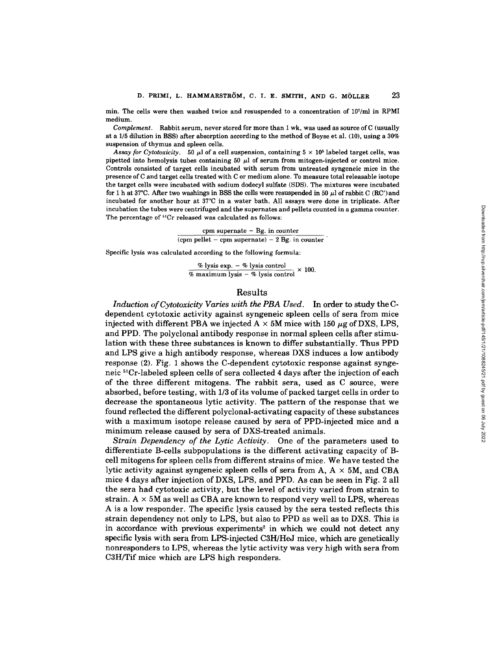min. The cells were then washed twice and resuspended to a concentration of  $10^7$ /ml in RPMI medium.

*Complement.* Rabbit serum, never stored for more than 1 wk, was used as source of C (usually at a 1/5 dilution in BSS) after absorption according to the method of Boyse et al. (10), using a 30% suspension of thymus and spleen cells.

Assay for Cytotoxicity. 50  $\mu$ l of a cell suspension, containing  $5 \times 10^5$  labeled target cells, was pipetted into hemolysis tubes containing  $50 \mu l$  of serum from mitogen-injected or control mice. Controls consisted of target cells incubated with serum from untreated syngeneic mice in the presence of C and target cells treated with C or medium alone. To measure total releasable isotope the target cells were incubated with sodium dodecyl sulfate (SDS). The mixtures were incubated for 1 h at 37°C. After two washings in BSS the cells were resuspended in 50  $\mu$ l of rabbit C (RC') and incubated for another hour at 37°C in a water bath. All assays were done in triplicate. After incubation the tubes were centrifuged and the supernates and pellets counted in a gamma counter. The percentage of <sup>51</sup>Cr released was calculated as follows:

cpm supernate  $-$  Bg. in counter

(cpm pellet - cpm supernate) -  $2$  Bg. in counter

Specific lysis was calculated according to the following formula:

% lysis exp.  $-$  % lysis control  $\times$  100.  $\frac{1}{8}$  maximum lysis  $-$  % lysis control

# Results

*Induction of Cytotoxicity Varies with the PBA Used.* In order to study the Cdependent cytotoxic activity against syngeneic spleen cells of sera from mice injected with different PBA we injected  $A \times 5M$  mice with 150  $\mu$ g of DXS, LPS, and PPD. The polyclonal antibody response in normal spleen cells after stimulation with these three substances is known to differ substantially. Thus PPD and LPS give a high antibody response, whereas DXS induces a low antibody response (2). Fig. 1 shows the C-dependent cytotoxic response against syngeneic<sup>51</sup>Cr-labeled spleen cells of sera collected 4 days after the injection of each of the three different mitogens. The rabbit sera, used as C source, were absorbed, before testing, with 1/3 of its volume of packed target cells in order to decrease the spontaneous lytic activity. The pattern of the response that we found reflected the different polyclonal-activating capacity of these substances with a maximum isotope release caused by sera of PPD-injected mice and a minimum release caused by sera of DXS-treated animals.

*Strain Dependency of the Lytic Activity.* One of the parameters used to differentiate B-cells subpopulations is the different activating capacity of Bcell mitogens for spleen cells from different strains of mice. We have tested the lytic activity against syngeneic spleen cells of sera from  $A, A \times 5M$ , and CBA mice 4 days after injection of DXS, LPS, and PPD. As can be seen in Fig. 2 all the sera had cytotoxic activity, but the level of activity varied from strain to strain.  $A \times 5M$  as well as CBA are known to respond very well to LPS, whereas A is a low responder. The specific lysis caused by the sera tested reflects this strain dependency not only to LPS, but also to PPD as well as to DXS. This is in accordance with previous experiments<sup>2</sup> in which we could not detect any specific lysis with sera from LPS-injected C3H/HeJ mice, which are genetically nonresponders to LPS, whereas the lytic activity was very high with sera from C3H/Tif mice which are LPS high responders.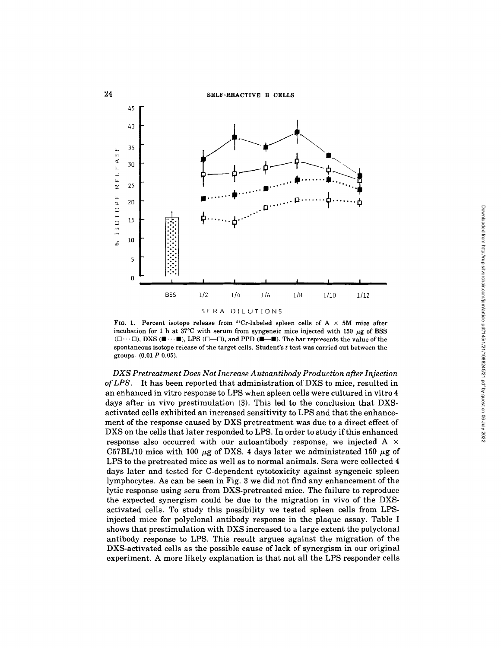

FIG. 1. Percent isotope release from <sup>51</sup>Cr-labeled spleen cells of A  $\times$  5M mice after incubation for 1 h at 37<sup>°</sup>C with serum from syngeneic mice injected with 150  $\mu$ g of BSS  $(\Box \cdots \Box)$ , DXS ( $\blacksquare \cdots \blacksquare$ ), LPS  $(\Box \cdots \Box)$ , and PPD ( $\blacksquare \cdots \blacksquare$ ). The bar represents the value of the spontaneous isotope release of the target cells. Student's t test was carried out between the groups. (0.01 P 0.05).

*DXS Pretreatment Does Not Increase A utoantibody Production after Injection of LPS.* It has been reported that administration of DXS to mice, resulted in an enhanced in vitro response to LPS when spleen cells were cultured in vitro 4 days after in vivo prestimulation (3). This led to the conclusion that DXSactivated cells exhibited an increased sensitivity to LPS and that the enhancement of the response caused by DXS pretreatment was due to a direct effect of DXS on the cells that later responded to LPS. In order to study if this enhanced response also occurred with our autoantibody response, we injected A x C57BL/10 mice with 100  $\mu$ g of DXS. 4 days later we administrated 150  $\mu$ g of LPS to the pretreated mice as well as to normal animals. Sera were collected 4 days later and tested for C-dependent cytotoxicity against syngeneic spleen lymphocytes. As can be seen in Fig. 3 we did not find any enhancement of the lytic response using sera from DXS-pretreated mice. The failure to reproduce the expected synergism could be due to the migration in vivo of the DXSactivated cells. To study this possibility we tested spleen cells from LPSinjected mice for polyclonal antibody response in the plaque assay. Table I shows that prestimulation with DXS increased to a large extent the polyclonal antibody response to LPS. This result argues against the migration of the DXS-activated cells as the possible cause of lack of synergism in our original experiment. A more likely explanation is that not all the LPS responder cells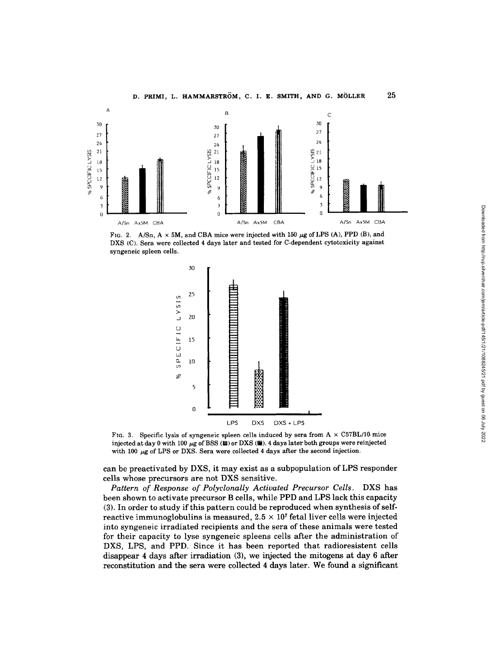

FIG. 2. A/Sn,  $A \times 5M$ , and CBA mice were injected with 150  $\mu$ g of LPS (A), PPD (B), and DXS (C). **Sera were collected 4 days later and tested for C-dependent cytotoxicity against syngeneic spleen cells.** 





**can be preactivated by DXS, it may exist as a subpopulation of LPS responder cells whose precursors are not DXS sensitive.** 

*Pattern of Response of Polyclonally Activated Precursor Cells.* **DXS has been shown to activate precursor B cells, while PPD and LPS lack this capacity (3). In order to study if this pattern could be reproduced when synthesis of self**reactive immunoglobulins is measured,  $2.5 \times 10^7$  fetal liver cells were injected **into syngeneic irradiated recipients and the sera of these animals were tested for their capacity to lyse syngeneic spleens cells after the administration of DXS, LPS, and PPD. Since it has been reported that radioresistent cells disappear 4 days after irradiation (3), we injected the mitogens at day 6 after reconstitution and the sera were collected 4 days later. We found a significant**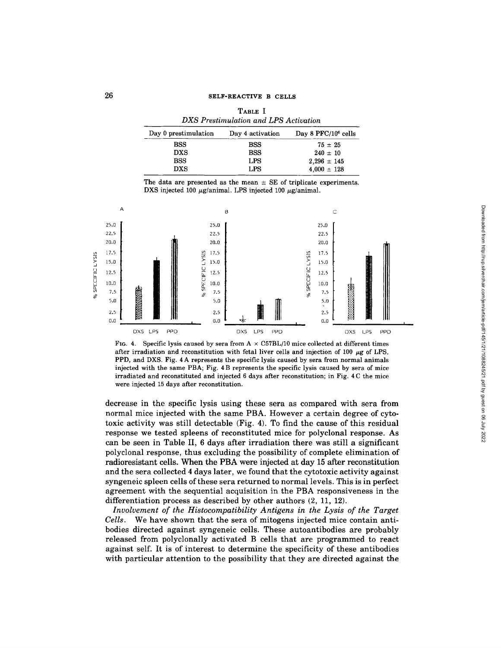| Day 0 prestimulation | Day 4 activation | Day 8 $PFC/10^6$ cells |
|----------------------|------------------|------------------------|
| <b>BSS</b>           | <b>BSS</b>       | $75 \pm 25$            |
| DXS                  | <b>BSS</b>       | $240 \pm 10$           |
| <b>BSS</b>           | LPS              | $2.296 \pm 145$        |
| DXS                  | LPS              | $4.000 \pm 128$        |

| TABLE I                               |  |  |  |
|---------------------------------------|--|--|--|
| DXS Prestimulation and LPS Activation |  |  |  |

The data are presented as the mean  $\pm$  SE of triplicate experiments. DXS injected 100  $\mu$ g/animal. LPS injected 100  $\mu$ g/animal.



Fig. 4. Specific lysis caused by sera from  $A \times C57BL/10$  mice collected at different times after irradiation and reconstitution with fetal liver cells and injection of 100  $\mu$ g of LPS, PPD, and DXS. Fig. 4 A represents the specific lysis caused by sera from normal animals injected with the same PBA; Fig. 4 B represents the specific lysis caused by sera of mice irradiated and reconstituted and injected 6 days after reconstitution; in Fig. 4 C the mice were injected 15 days after reconstitution.

decrease in the specific lysis using these sera as compared with sera from normal mice injected with the same PBA. However a certain degree of cytotoxic activity was still detectable (Fig. 4). To find the cause of this residual response we tested spleens of reconstituted mice for polyclonal response. As can be seen in Table II, 6 days after irradiation there was still a significant polyclonal response, thus excluding the possibility of complete elimination of radioresistant cells. When the PBA were injected at day 15 after reconstitution and the sera collected 4 days later, we found that the cytotoxic activity against syngeneic spleen cells of these sera returned to normal levels. This is in perfect agreement with the sequential acquisition in the PBA responsiveness in the differentiation process as described by other authors (2, 11, 12).

*Involvement of the Histocompatibility Antigens in the Lysis of the Target Cells.* We have shown that the sera of mitogens injected mice contain antibodies directed against syngeneic cells. These autoantibodies are probably released from polyclonally activated B cells that are programmed to react against self. It is of interest to determine the specificity of these antibodies with particular attention to the possibility that they are directed against the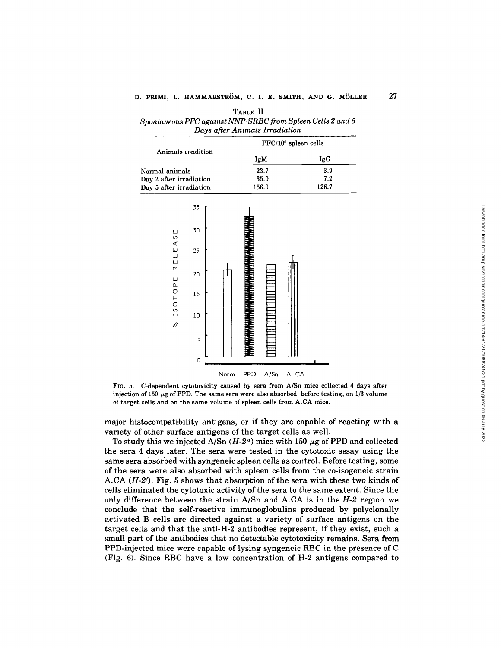| TABLE II                                                   |  |  |  |  |
|------------------------------------------------------------|--|--|--|--|
| Spontaneous PFC against NNP-SRBC from Spleen Cells 2 and 5 |  |  |  |  |
| Days after Animals Irradiation                             |  |  |  |  |

|                         | PFC/10 <sup>6</sup> spleen cells |       |
|-------------------------|----------------------------------|-------|
| Animals condition       | IgM                              | IgG   |
| Normal animals          | 23.7                             | 3.9   |
| Day 2 after irradiation | 35.0                             | 7.2   |
| Day 5 after irradiation | 156.0                            | 126.7 |



**Fro. 5. C-dependent cytotoxicity caused by sera from A/Sn mice collected 4 days after**  injection of 150  $\mu$ g of PPD. The same sera were also absorbed, before testing, on 1/3 volume **of target cells and on the same volume of spleen cells from A.CA mice.** 

**major histocompatibility antigens, or if they are capable of reacting with a variety of other surface antigens of the target cells as well.** 

To study this we injected  $A/Sn (H-2<sup>a</sup>)$  mice with 150  $\mu$ g of PPD and collected **the sera 4 days later. The sera were tested in the cytotoxic assay using the same sera absorbed with syngeneic spleen cells as control. Before testing, some of the sera were also absorbed with spleen cells from the co-isogeneic strain A.CA** *(H-2J).* **Fig. 5 shows that absorption of the sera with these two kinds of cells eliminated the cytotoxic activity of the sera to the same extent. Since the only difference between the strain A/Sn and A.CA is in the** *H-2* **region we conclude that the self-reactive immunoglobulins produced by polyclonally activated B cells are directed against a variety of surface antigens on the target cells and that the anti-H-2 antibodies represent, if they exist, such a small part of the antibodies that no detectable cytotoxicity remains. Sera from PPD-injected mice were capable of lysing syngeneic RBC in the presence of C (Fig. 6). Since RBC have a low concentration of H-2 antigens compared to** 

**27**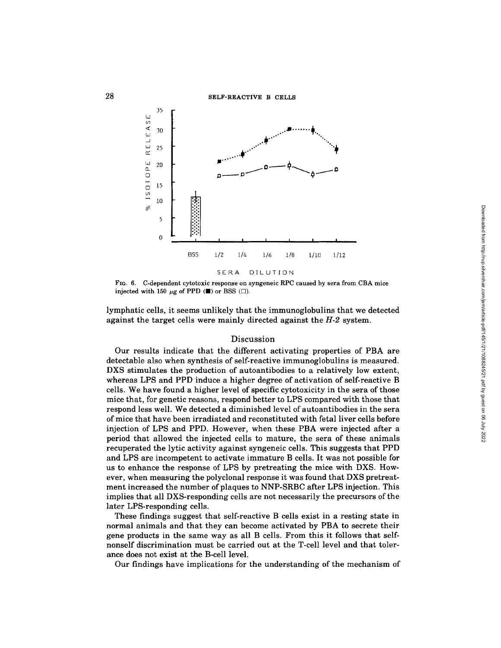#### SELF-REACTIVE B CELLS



FIG. 6. C-dependent cytotoxic response on syngeneic RPC caused by sera from CBA mice injected with 150  $\mu$ g of PPD ( $\blacksquare$ ) or BSS ( $\Box$ ).

lymphatic cells, it seems unlikely that the immunoglobulins that we detected against the target cells were mainly directed against the *H-2* system.

### Discussion

Our results indicate that the different activating properties of PBA are detectable also when synthesis of self-reactive immunoglobulins is measured. DXS stimulates the production of autoantibodies to a relatively low extent, whereas LPS and PPD induce a higher degree of activation of self-reactive B cells. We have found a higher level of specific cytotoxicity in the sera of those mice that, for genetic reasons, respond better to LPS compared with those that respond less well. We detected a diminished level of autoantibodies in the sera of mice that have been irradiated and reconstituted with fetal liver cells before injection of LPS and PPD. However, when these PBA were injected after a period that allowed the injected cells to mature, the sera of these animals recuperated the lytic activity against syngeneic cells. This suggests that PPD and LPS are incompetent to activate immature B cells. It was not possible for us to enhance the response of LPS by pretreating the mice with DXS. However, when measuring the polyclonal response it was found that DXS pretreatment increased the number of plaques to NNP-SRBC after LPS injection. This implies that all DXS-responding cells are not necessarily the precursors of the later LPS-responding cells.

These findings suggest that self-reactive B cells exist in a resting state in normal animals and that they can become activated by PBA to secrete their gene products in the same way as all B cells. From this it follows that selfnonself discrimination must be carried out at the T-cell level and that tolerance does not exist at the B-cell level.

Our findings have implications for the understanding of the mechanism of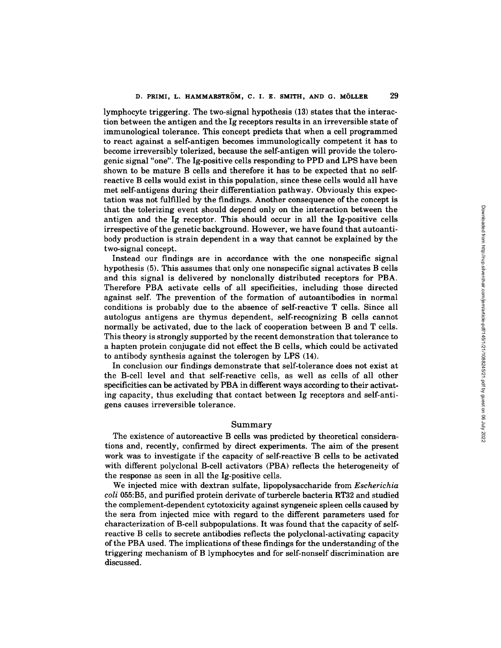lymphocyte triggering. The two-signal hypothesis (13) states that the interaction between the antigen and the Ig receptors results in an irreversible state of immunological tolerance. This concept predicts that when a cell programmed to react against a self-antigen becomes immunologically competent it has to become irreversibly tolerized, because the self-antigen will provide the tolerogenic signal "one". The Ig-positive cells responding to PPD and LPS have been shown to be mature B cells and therefore it has to be expected that no selfreactive B cells would exist in this population, since these cells would all have met self-antigens during their differentiation pathway. Obviously this expectation was not fulfilled by the findings. Another consequence of the concept is that the tolerizing event should depend only on the interaction between the antigen and the Ig receptor. This should occur in all the Ig-positive cells irrespective of the genetic background. However, we have found that autoantibody production is strain dependent in a way that cannot be explained by the two-signal concept.

Instead our findings are in accordance with the one nonspecific signal hypothesis (5). This assumes that only one nonspecific signal activates B cells and this signal is delivered by nonclonally distributed receptors for PBA. Therefore PBA activate cells of all specificities, including those directed against self. The prevention of the formation of autoantibodies in normal conditions is probably due to the absence of self-reactive T cells. Since all autologus antigens are thymus dependent, self-recognizing B cells cannot normally be activated, due to the lack of cooperation between B and T cells. This theory is strongly supported by the recent demonstration that tolerance to a hapten protein conjugate did not effect the B cells, which could be activated to antibody synthesis against the tolerogen by LPS (14).

In conclusion our findings demonstrate that self-tolerance does not exist at the B-cell level and that self-reactive cells, as well as cells of all other specificities can be activated by PBA in different ways according to their activating capacity, thus excluding that contact between Ig receptors and self-antigens causes irreversible tolerance.

# Summary

The existence of autoreactive B cells was predicted by theoretical considerations and, recently, confirmed by direct experiments. The aim of the present work was to investigate if the capacity of self-reactive B cells to be activated with different polyclonal B-cell activators (PBA) reflects the heterogeneity of the response as seen in all the Ig-positive cells.

We injected mice with dextran sulfate, lipopolysaccharide from *Escherichia coli* 055:B5, and purified protein derivate ofturbercle bacteria RT32 and studied the complement-dependent cytotoxicity against syngeneic spleen cells caused by the sera from injected mice with regard to the different parameters used for characterization of B-cell subpopulations. It was found that the capacity of selfreactive B cells to secrete antibodies reflects the polyclonal-activating capacity of the PBA used. The implications of these findings for the understanding of the triggering mechanism of B lymphocytes and for self-nonself discrimination are discussed.